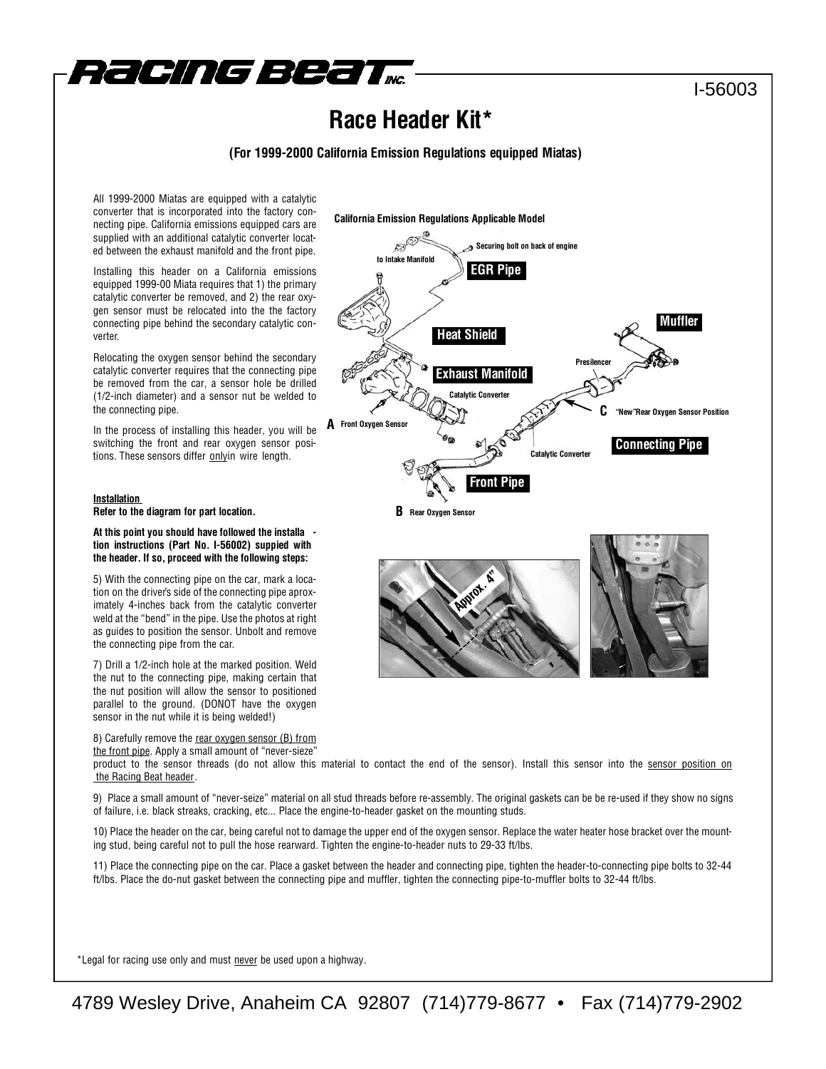

### I-56003

## **Race Header Kit\***

#### **(For 1999-2000 California Emission Regulations equipped Miatas)**

All 1999-2000 Miatas are equipped with a catalytic converter that is incorporated into the factory connecting pipe. California emissions equipped cars are supplied with an additional catalytic converter located between the exhaust manifold and the front pipe.

Installing this header on a California emissions equipped 1999-00 Miata requires that 1) the primary catalytic converter be removed, and 2) the rear oxygen sensor must be relocated into the the factory connecting pipe behind the secondary catalytic converter.

Relocating the oxygen sensor behind the secondary catalytic converter requires that the connecting pipe be removed from the car, a sensor hole be drilled (1/2-inch diameter) and a sensor nut be welded to the connecting pipe.

In the process of installing this header, you will be switching the front and rear oxygen sensor positions. These sensors differ onlyin wire length.

#### **Installation**

**Refer to the diagram for part location.**

#### **At this point you should have followed the installa tion instructions (Part No. I-56002) suppied with the header. If so, proceed with the following steps:**

5) With the connecting pipe on the car, mark a location on the driver's side of the connecting pipe aproximately 4-inches back from the catalytic converter weld at the "bend" in the pipe. Use the photos at right as guides to position the sensor. Unbolt and remove the connecting pipe from the car.

7) Drill a 1/2-inch hole at the marked position. Weld the nut to the connecting pipe, making certain that the nut position will allow the sensor to positioned parallel to the ground. (DONOT have the oxygen sensor in the nut while it is being welded!)

8) Carefully remove the rear oxygen sensor (B) from the front pipe. Apply a small amount of "never-sieze"





product to the sensor threads (do not allow this material to contact the end of the sensor). Install this sensor into the sensor position on the Racing Beat header.

9) Place a small amount of "never-seize" material on all stud threads before re-assembly. The original gaskets can be be re-used if they show no signs of failure, i.e. black streaks, cracking, etc... Place the engine-to-header gasket on the mounting studs.

10) Place the header on the car, being careful not to damage the upper end of the oxygen sensor. Replace the water heater hose bracket over the mounting stud, being careful not to pull the hose rearward. Tighten the engine-to-header nuts to 29-33 ft/lbs.

11) Place the connecting pipe on the car. Place a gasket between the header and connecting pipe, tighten the header-to-connecting pipe bolts to 32-44 ft/lbs. Place the do-nut gasket between the connecting pipe and muffler, tighten the connecting pipe-to-muffler bolts to 32-44 ft/lbs.

\*Legal for racing use only and must never be used upon a highway.